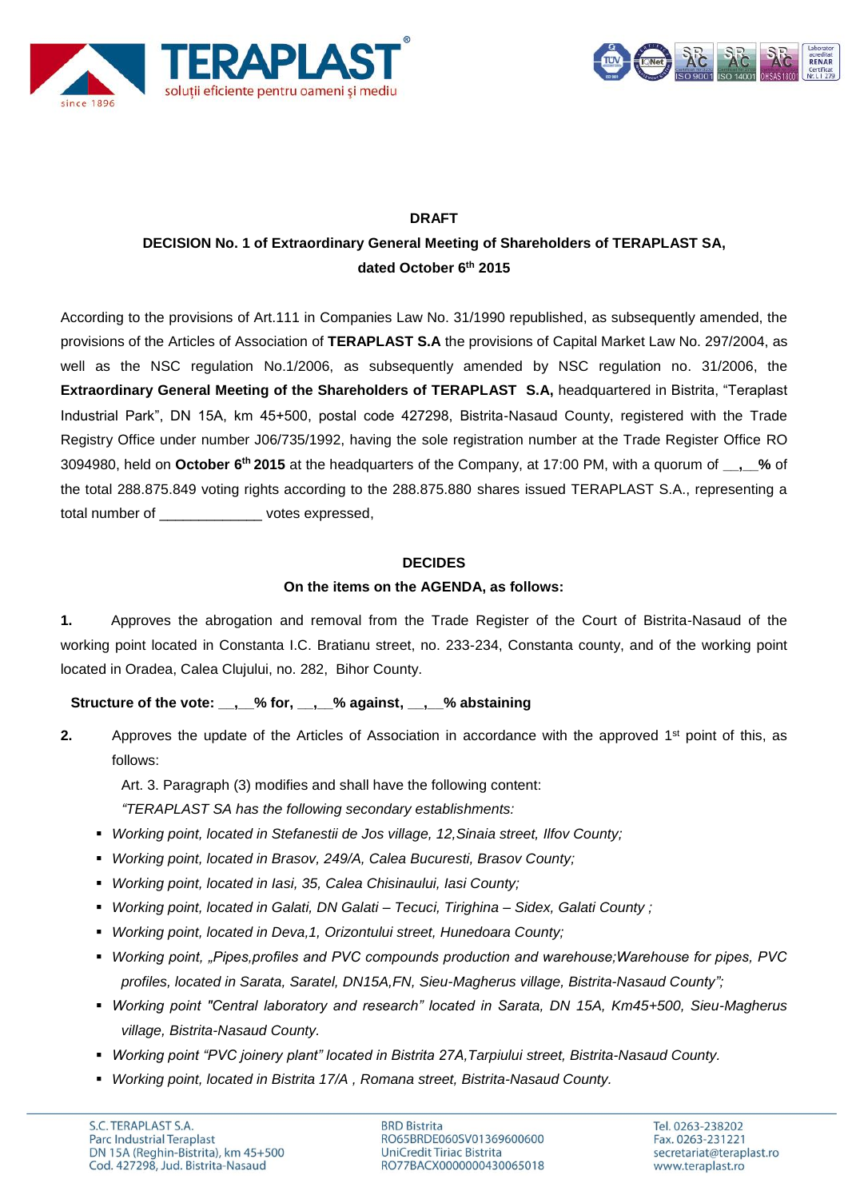



# **DRAFT**

# **DECISION No. 1 of Extraordinary General Meeting of Shareholders of TERAPLAST SA, dated October 6 th 2015**

According to the provisions of Art.111 in Companies Law No. 31/1990 republished, as subsequently amended, the provisions of the Articles of Association of **TERAPLAST S.A** the provisions of Capital Market Law No. 297/2004, as well as the NSC regulation No.1/2006, as subsequently amended by NSC regulation no. 31/2006, the **Extraordinary General Meeting of the Shareholders of TERAPLAST S.A,** headquartered in Bistrita, "Teraplast Industrial Park", DN 15A, km 45+500, postal code 427298, Bistrita-Nasaud County, registered with the Trade Registry Office under number J06/735/1992, having the sole registration number at the Trade Register Office RO 3094980, held on **October 6 th 2015** at the headquarters of the Company, at 17:00 PM, with a quorum of **\_\_,\_\_%** of the total 288.875.849 voting rights according to the 288.875.880 shares issued TERAPLAST S.A., representing a total number of expressed,

## **DECIDES**

## **On the items on the AGENDA, as follows:**

**1.** Approves the abrogation and removal from the Trade Register of the Court of Bistrita-Nasaud of the working point located in Constanta I.C. Bratianu street, no. 233-234, Constanta county, and of the working point located in Oradea, Calea Clujului, no. 282, Bihor County.

**Structure of the vote: \_\_,\_\_% for, \_\_,\_\_% against, \_\_,\_\_% abstaining**

**2.** Approves the update of the Articles of Association in accordance with the approved 1<sup>st</sup> point of this, as follows:

Art. 3. Paragraph (3) modifies and shall have the following content:

*"TERAPLAST SA has the following secondary establishments:* 

- *Working point, located in Stefanestii de Jos village, 12,Sinaia street, Ilfov County;*
- *Working point, located in Brasov, 249/A, Calea Bucuresti, Brasov County;*
- *Working point, located in Iasi, 35, Calea Chisinaului, Iasi County;*
- *Working point, located in Galati, DN Galati – Tecuci, Tirighina – Sidex, Galati County ;*
- *Working point, located in Deva,1, Orizontului street, Hunedoara County;*
- *Working point, "Pipes,profiles and PVC compounds production and warehouse;Warehouse for pipes, PVC profiles, located in Sarata, Saratel, DN15A,FN, Sieu-Magherus village, Bistrita-Nasaud County";*
- *Working point "Central laboratory and research" located in Sarata, DN 15A, Km45+500, Sieu-Magherus village, Bistrita-Nasaud County.*
- *Working point "PVC joinery plant" located in Bistrita 27A,Tarpiului street, Bistrita-Nasaud County.*
- *Working point, located in Bistrita 17/A , Romana street, Bistrita-Nasaud County.*